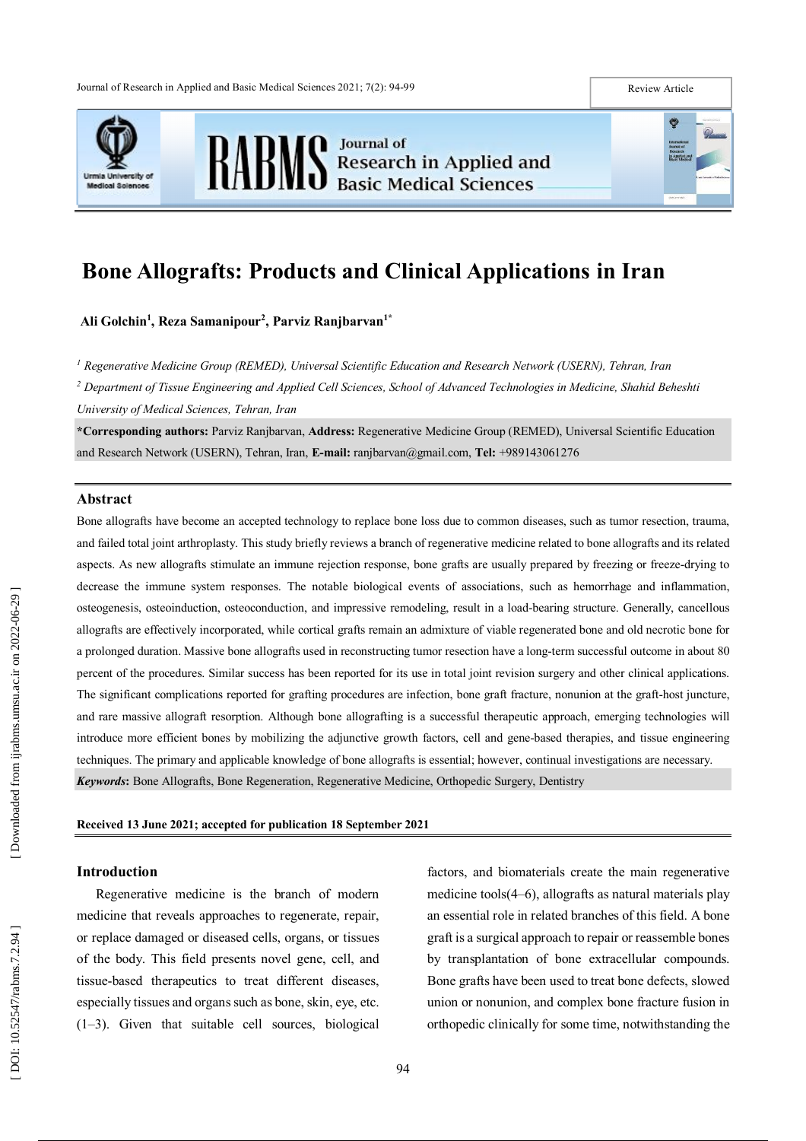



# **Bone Allografts: Products and Clinical Applications in Iran**

**Ali Golchin 1 , Reza Samanipour 2 , Parviz Ranjbarvan 1 \***

*<sup>1</sup> Regenerative Medicine Group (REMED), Universal Scientific Education and Research Network (USERN), Tehran, Iran*

*<sup>2</sup> Department of Tissue Engineering and Applied Cell Sciences, School of Advanced Technologies in Medicine, Shahid Beheshti University of Medical Sciences, Tehran, Iran*

**\*Corresponding authors :** Parviz Ranjbarvan, **Address:** Regenerative Medicine Group (REMED), Universal Scientific Education and Research Network (USERN), Tehran, Iran, **E -mail:** ranjbarvan@gmail.com, **Tel:** +989143061276

# **Abstract**

Bone allografts have become an accepted technology to replace bone loss due to common diseases, such as tumor resection, trauma, and failed total joint arthroplasty. This study briefly reviews a branch of regenerative medicine related to bone allografts and its related aspects. As new allografts stimulate an immune rejection response, bone grafts are usually prepared by freezing or freeze-drying to decrease the immune system responses. The notable biological events of associations, such as hemorrhage and inflammation, osteogenesis, osteoinduction, osteoconduction, and impressive remodeling, result in a load -bearing structure. Generally, cancellous allografts are effectively incorporated, while cortical grafts remain an admixture of viable regenerated bone and old necrotic bone for a prolonged duration. Massive bone allografts used in reconstructing tumor resection have a long -term successful outcome in about 80 percent of the procedures. Similar success has been reported for its use in total joint revision surgery and other clinical applications. The significant complications reported for grafting procedures are infection, bone graft fracture, nonunion at the graft -host juncture, and rare massive allograft resorption. Although bone allografting is a successful therapeutic approach, emerging technologies will introduce more efficient bones by mobilizing the adjunctive growth factors, cell and gene -based therapies, and tissue engineering techniques. The primary and applicable knowledge of bone allografts is essential; however, continual investigations are necessary . Keywords: Bone Allografts, Bone Regeneration, Regenerative Medicine, Orthopedic Surgery, Dentistry

#### **Received 1 3 June 2021 ; accepted for publication 1 8 September 2021**

# **Introduction**

Regenerative medicine is the branch of modern medicine that reveals approaches to regenerate, repair, or replace damaged or diseased cells, organs, or tissues of the body. This field presents novel gene, cell, and tissue -based therapeutics to treat different diseases, especially tissues and organs such as bone, skin, eye, etc. (1 –3) . Given that suitable cell sources, biological

factors, and biomaterials create the main regenerative medicine tools(4 –6), allografts as natural materials play an essential role in related branches of this field. A bone graft is a surgical approach to repair or reassemble bones by transplantation of bone extracellular compounds. Bone grafts have been used to treat bone defects, slowed union or nonunion, and complex bone fracture fusion in orthopedic clinically for some time, notwithstanding the

 $\bullet$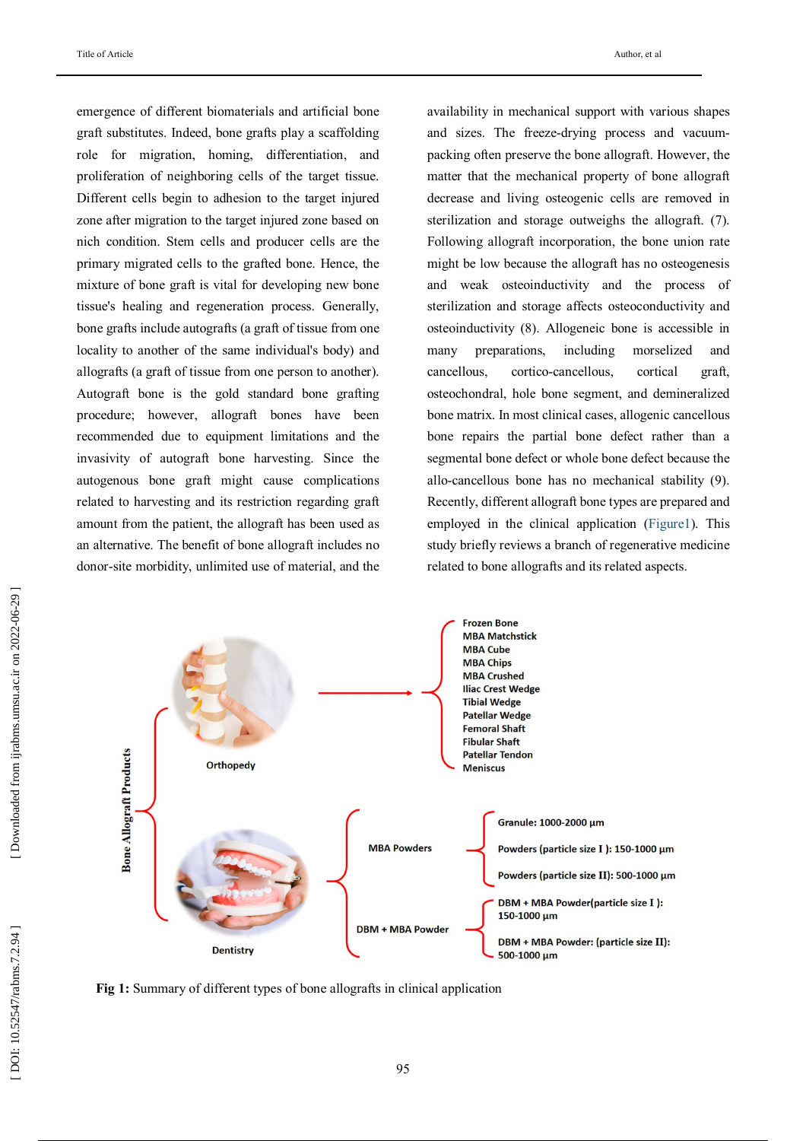emergence of different biomaterials and artificial bone graft substitutes. Indeed, bone grafts play a scaffolding role for migration, homing, differentiation, and proliferation of neighboring cells of the target tissue. Different cells begin to adhesion to the target injured zone after migration to the target injured zone based on nich condition. Stem cells and producer cells are the primary migrated cells to the grafted bone. Hence, the mixture of bone graft is vital for developing new bone tissue's healing and regeneration process. Generally, bone grafts include autografts (a graft of tissue from one locality to another of the same individual's body) and allografts (a graft of tissue from one person to another). Autograft bone is the gold standard bone grafting procedure; however, allograft bones have been recommended due to equipment limitations and the invasivity of autograft bone harvesting. Since the autogenous bone graft might cause complications related to harvesting and its restriction regarding graft amount from the patient, the allograft has been used as an alternative. The benefit of bone allograft includes no donor -site morbidity, unlimited use of material, and the

availability in mechanical support with various shapes and sizes. The freeze -drying process and vacuum packing often preserve the bone allograft. However, the matter that the mechanical property of bone allograft decrease and living osteogenic cells are removed in sterilization and storage outweighs the allograft . (7). Following allograft incorporation, the bone union rate might be low because the allograft has no osteogenesis and weak osteoinductivity and the process of sterilization and storage affects osteoconductivity and osteoinductivity (8) . Allogeneic bone is accessible in many preparations, including morselized and cancellous, -cancellous, cortical graft, osteochondral, hole bone segment, and demineralized bone matrix. In most clinical cases, allogenic cancellous bone repairs the partial bone defect rather than a segmental bone defect or whole bone defect because the allo -cancellous bone has no mechanical stability (9) . Recently, different allograft bone types are prepared and employed in the clinical application (Figure 1 ). This study briefly reviews a branch of regenerative medicine related to bone allografts and its related aspects .



**Fig 1 :** Summary of different types of bone allografts in clinical application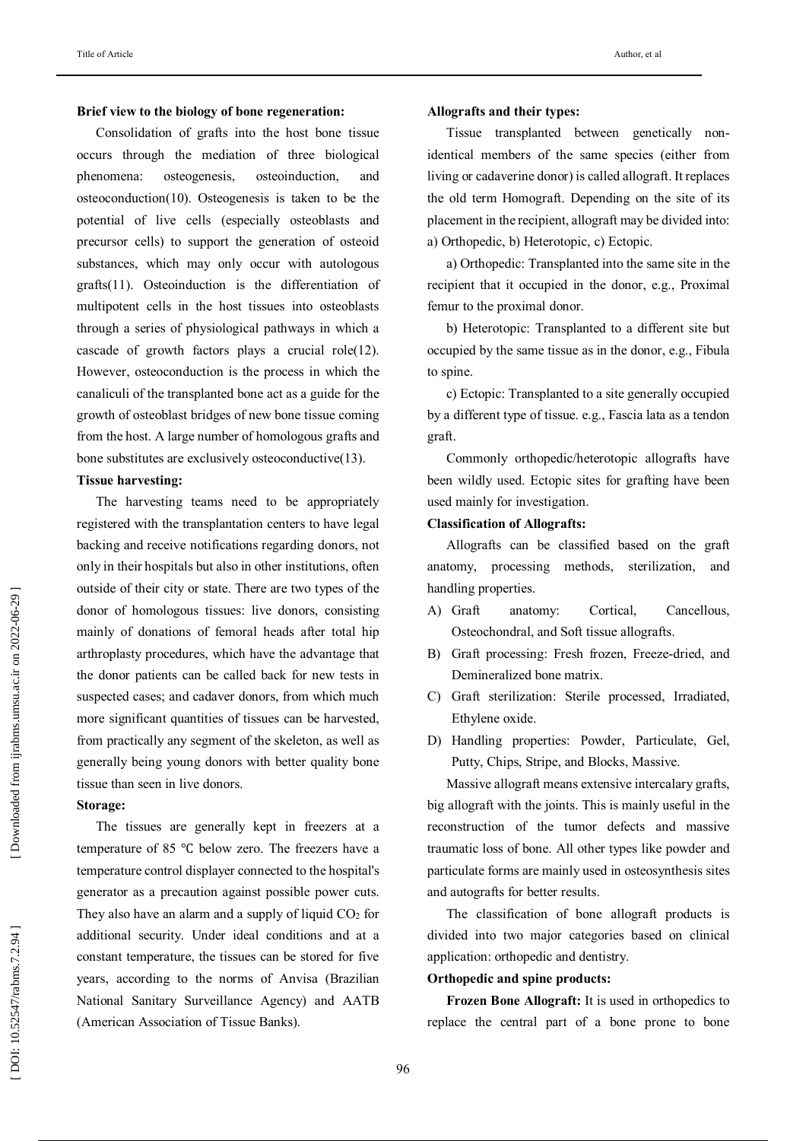#### **Brief view to the biology of bone regeneration :**

Consolidation of grafts into the host bone tissue occurs through the mediation of three biological phenomena: osteogenesis, osteoinduction , and osteoconduction(10). Osteogenesis is taken to be the potential of live cells (especially osteoblasts and precursor cells) to support the generation of osteoid substances, which may only occur with autologous grafts(11). Osteoinduction is the differentiation of multipotent cells in the host tissues into osteoblasts through a series of physiological pathways in which a cascade of growth factors plays a crucial role(12). However, osteoconduction is the process in which the canaliculi of the transplanted bone act as a guide for the growth of osteoblast bridges of new bone tissue coming from the host. A large number of homologous grafts and bone substitutes are exclusively osteoconductive(13) .

## **Tissue harvesting :**

The harvesting teams need to be appropriately registered with the transplantation centers to have legal backing and receive notifications regarding donors, not only in their hospitals but also in other institutions, often outside of their city or state. There are two types of the donor of homologous tissues: live donors, consisting mainly of donations of femoral heads after total hip arthroplasty procedures, which have the advantage that the donor patients can be called back for new tests in suspected cases; and cadaver donors, from which much more significant quantities of tissues can be harvested, from practically any segment of the skeleton, as well as generally being young donors with better quality bone tissue than seen in live donors.

# **Storage :**

The tissues are generally kept in freezers at a temperature of 85 ℃ below zero. The freezers have a temperature control displayer connected to the hospital's generator as a precaution against possible power cuts. They also have an alarm and a supply of liquid  $CO<sub>2</sub>$  for additional security. Under ideal conditions and at a constant temperature, the tissues can be stored for five years, according to the norms of Anvisa (Brazilian National Sanitary Surveillance Agency) and AATB (American Association of Tissue Banks).

#### **Allografts and their types :**

Tissue transplanted between genetically non identical members of the same species (either from living or cadaverine donor) is called allograft . It replaces the old term Homograft. Depending on the site of its placement in the recipient , allograft may be divided into: a) Orthopedic , b) Heterotopic , c) Ectopic.

a) Orthopedic: Transplanted into the same site in the recipient that it occupied in the donor , e.g., Proximal femur to the proximal donor.

b) Heterotopic: Transplanted to a different site but occupied by the same tissue as in the donor , e.g., Fibula to spine.

c) Ectopic: Transplanted to a site generally occupied by a different type of tissue. e.g., Fascia lata as a tendon graft.

Commonly orthopedic/heterotopic allografts have been wildly used. Ectopic sites for grafting have been used mainly for investigation.

# **Classification of Allografts :**

Allografts can be classified based on the graft anatomy, processing methods, sterilization , and handling properties.

- A) Graft anatomy: Cortical, Cancellous, Osteochondral , and Soft tissue allografts.
- B) Graft processing: Fresh frozen, Freeze -dried , and Demineralized bone matrix.
- C) Graft sterilization: Sterile processed, Irradiated, Ethylene oxide.
- D) Handling properties: Powder, Particulate, Gel, Putty, Chips, Stripe , and Blocks, Massive.

Massive allograft means extensive intercalary grafts, big allograft with the joints. This is mainly useful in the reconstruction of the tumor defects and massive traumatic loss of bone. All other types like powder and particulate forms are mainly used in osteosynthesis sites and autografts for better results.

The classification of bone allograft products is divided into two major categories based on clinical application: orthopedic and dentistry .

### **Orthopedic and spine products :**

**Frozen Bone Allograft:** It is used in orthopedics to replace the central part of a bone prone to bone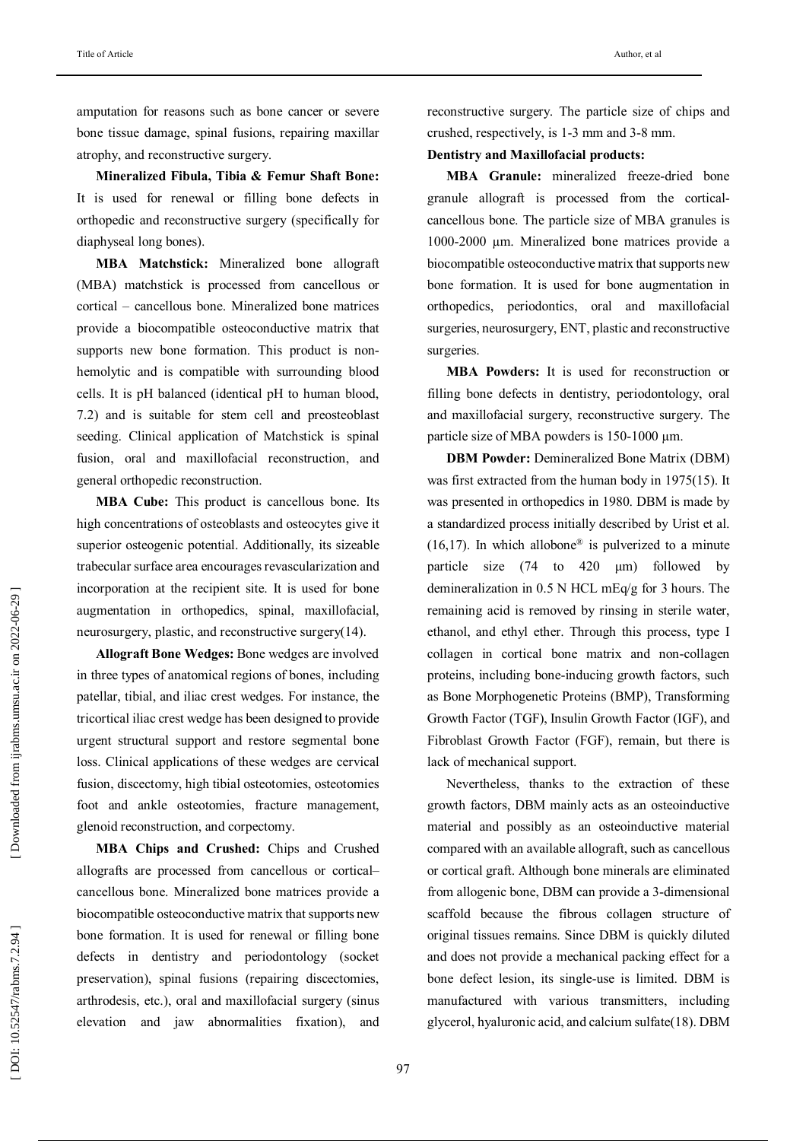amputation for reasons such as bone cancer or severe bone tissue damage, spinal fusions, repairing maxillar atrophy, and reconstructive surgery.

**Mineralized Fibula, Tibia & Femur Shaft Bone:**  It is used for renewal or filling bone defects in orthopedic and reconstructive surgery (specifically for diaphyseal long bones).

**MBA Matchstick:** Mineralized bone allograft (MBA) matchstick is processed from cancellous or cortical – cancellous bone. Mineralized bone matrices provide a biocompatible osteoconductive matrix that supports new bone formation. This product is nonhemolytic and is compatible with surrounding blood cells. It is pH balanced (identical pH to human blood, 7.2) and is suitable for stem cell and preosteoblast seeding. Clinical application of Matchstick is spinal fusion, oral and maxillofacial reconstruction, and general orthopedic reconstruction.

**MBA Cube:** This product is cancellous bone. Its high concentrations of osteoblasts and osteocytes give it superior osteogenic potential. Additionally, its sizeable trabecular surface area encourages revascularization and incorporation at the recipient site. It is used for bone augmentation in orthopedics, spinal, maxillofacial, neurosurgery, plastic , and reconstructive surgery(14) .

**Allograft Bone Wedges:** Bone wedges are involved in three types of anatomical regions of bones, including patellar, tibial, and iliac crest wedges. For instance, the tricortical iliac crest wedge has been designed to provide urgent structural support and restore segmental bone loss. Clinical applications of these wedges are cervical fusion, discectomy, high tibial osteotomies, osteotomies foot and ankle osteotomies, fracture management, glenoid reconstruction, and corpectomy.

**MBA Chips and Crushed:** Chips and Crushed allografts are processed from cancellous or cortical– cancellous bone. Mineralized bone matrices provide a biocompatible osteoconductive matrix that support s new bone formation. It is used for renewal or filling bone defects in dentistry and periodontology (socket preservation), spinal fusions (repairing discectomies, arthrodesis, etc .), oral and maxillofacial surgery (sinus elevation and jaw abnormalities fixation), and

reconstructive surgery. The particle size of chips and crushed, respectively, is 1 -3 mm and 3 -8 mm.

## **Dentistry and Maxillofacial products :**

MBA Granule: mineralized freeze-dried bone granule allograft is processed from the cortical cancellous bone. The particle size of MBA granules is 1000 -2000 µm. Mineralized bone matrices provide a biocompatible osteoconductive matrix that support s new bone formation. It is used for bone augmentation in orthopedics, periodontics, oral and maxillofacial surgeries, neurosurgery, E NT, plastic and reconstructive surgeries.

**MBA Powders:** It is used for reconstruction or filling bone defects in dentistry, periodontology, oral and maxillofacial surgery, reconstructive surgery. The particle size of MBA powders is 150 -1000 µm.

**DBM Powder:** Demineralized Bone Matrix (DBM ) was first extracted from the human body in 1975(15). It was presented in orthopedics in 1980. DBM is made by a standardized process initially described by Urist et al.  $(16, 17)$ . In which allobone<sup>®</sup> is pulverized to a minute particle size  $(74 \text{ to } 420 \text{ \mu m})$  followed demineralization in 0.5 N HCL mEq/g for 3 hours. The remaining acid is removed by rinsing in sterile water, ethanol, and ethyl ether. Through this process, type I collagen in cortical bone matrix and non -collagen proteins, including bone -inducing growth factors, such as Bone Morphogenetic Proteins (BMP), Transforming Growth Factor (TGF), Insulin Growth Factor (IGF), and Fibroblast Growth Factor (FGF), remain, but there is lack of mechanical support.

Nevertheless, thanks to the extraction of these growth factors, DBM mainly acts as an osteoinductive material and possibly as an osteoinductive material compared with an available allograft, such as cancellous or cortical graft. Although bone minerals are eliminated from allogenic bone, DBM can provide a 3 -dimensional scaffold because the fibrous collagen structure of original tissues remains. Since DBM is quickly diluted and does not provide a mechanical packing effect for a bone defect lesion, its single -use is limited. DBM is manufactured with various transmitters, including glycerol , hyaluronic acid, and calcium sulfate(18) . DBM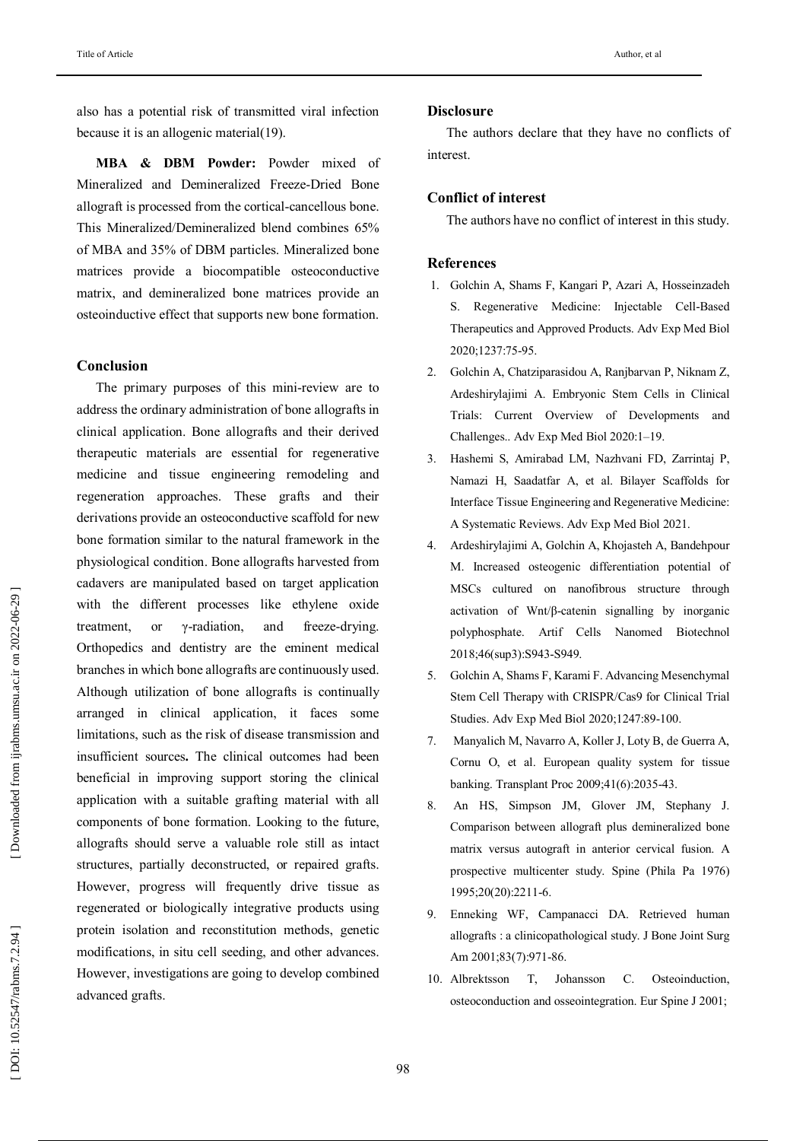also has a potential risk of transmitted viral infection because it is an allogenic material(19) .

**MBA & DBM Powder:** Powder mixed of Mineralized and Demineralized Freeze -Dried Bone allograft is processed from the cortical -cancellous bone. This Mineralized/Demineralized blend combines 65% of MBA and 35% of DBM particles. Mineralized bone matrices provide a biocompatible osteoconductive matrix , and demineralized bone matrices provide an osteoinductive effect that support s new bone formation.

# **Conclusion**

The primary purposes of this mini -review are to address the ordinary administration of bone allografts in clinical application. Bone allografts and their derived therapeutic materials are essential for regenerative medicine and tissue engineering remodeling and regeneration approaches. These grafts and their derivations provide an osteoconductive scaffold for new bone formation similar to the natural framework in the physiological condition. Bone allografts harvested from cadavers are manipulated based on target application with the different processes like ethylene oxide treatment, or γ-radiation, and freeze-drying. Orthopedics and dentistry are the eminent medical branches in which bone allografts are continuously used. Although utilization of bone allografts is continually arranged in clinical application, it faces some limitations, such as the risk of disease transmission and insufficient sources **.** The clinical outcomes had been beneficial in improving support storing the clinical application with a suitable grafting material with all components of bone formation. Looking to the future, allografts should serve a valuable role still as intact structures, partially deconstructed, or repaired grafts. However, progress will frequently drive tissue as regenerated or biologically integrative products using protein isolation and reconstitution methods, genetic modifications, in situ cell seeding, and other advances. However, investigations are going to develop combined advanced grafts.

## **Disclosure**

The authors declare that they have no conflicts of interest.

# **Conflict of interest**

The authors have no conflict of interest in this study.

# **References**

- 1. Golchin A, Shams F, Kangari P, Azari A, Hosseinzadeh S. Regenerative Medicine: Injectable Cell -Based Therapeutics and Approved Products. Adv Exp Med Biol 2020;1237:75 -95.
- 2. Golchin A, Chatziparasidou A, Ranjbarvan P, Niknam Z, Ardeshirylajimi A. Embryonic Stem Cells in Clinical Trials: Current Overview of Developments and Challenges.. Adv Exp Med Biol 2020: 1 –19.
- 3. Hashemi S, Amirabad LM, Nazhvani FD, Zarrintaj P, Namazi H, Saadatfar A, et al. Bilayer Scaffolds for Interface Tissue Engineering and Regenerative Medicine: A Systematic Reviews. Adv Exp Med Biol 2021 .
- 4. Ardeshirylajimi A, Golchin A, Khojasteh A, Bandehpour M. Increased osteogenic differentiation potential of MSCs cultured on nanofibrous structure through activation of Wnt/β -catenin signalling by inorganic polyphosphate. Artif Cells Nanomed Biotechnol 2018;46(sup3):S943 -S949.
- 5. Golchin A, Shams F, Karami F. Advancing Mesenchymal Stem Cell Therapy with CRISPR/Cas9 for Clinical Trial Studies . Adv Exp Med Biol 2020;1247:89 -100.
- 7. Manyalich M, Navarro A, Koller J, Loty B, de Guerra A, Cornu O, et al. European quality system for tissue banking. Transplant Proc 2009;41(6):2035 -43.
- 8. An HS, Simpson JM, Glover JM, Stephany J. Comparison between allograft plus demineralized bone matrix versus autograft in anterior cervical fusion. A prospective multicenter study. Spine (Phila Pa 1976) 1995;20(20):2211 -6.
- 9. Enneking WF, Campanacci DA. Retrieved human allografts : a clinicopathological study. J Bone Joint Surg Am 2001;83(7):971 -86.
- 10. Albrektsson T, Johansson C. Osteoinduction, osteoconduction and osseointegration. Eur Spine J 2001;